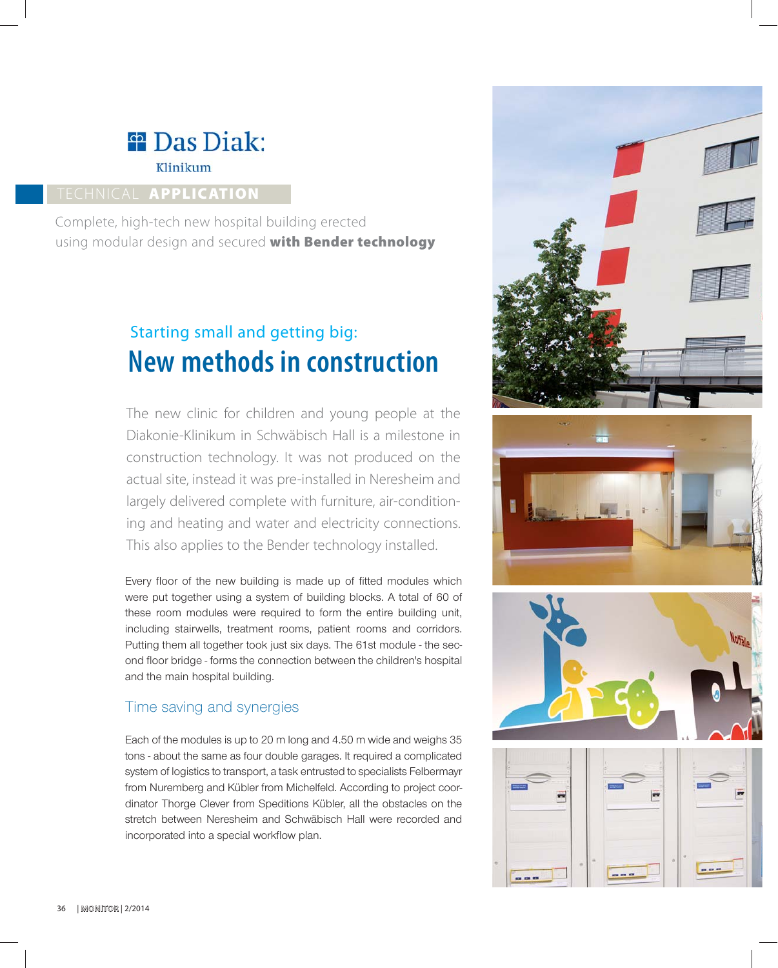# <sup>#</sup> Das Diak: Klinikum

# TECHNICAL **APPLICATION**

Complete, high-tech new hospital building erected using modular design and secured **with Bender technology**

# **New methods in construction** Starting small and getting big:

The new clinic for children and young people at the Diakonie-Klinikum in Schwäbisch Hall is a milestone in construction technology. It was not produced on the actual site, instead it was pre-installed in Neresheim and largely delivered complete with furniture, air-conditioning and heating and water and electricity connections. This also applies to the Bender technology installed.

Every floor of the new building is made up of fitted modules which were put together using a system of building blocks. A total of 60 of these room modules were required to form the entire building unit, including stairwells, treatment rooms, patient rooms and corridors. Putting them all together took just six days. The 61st module - the second floor bridge - forms the connection between the children's hospital and the main hospital building.

# Time saving and synergies

Each of the modules is up to 20 m long and 4.50 m wide and weighs 35 tons - about the same as four double garages. It required a complicated system of logistics to transport, a task entrusted to specialists Felbermayr from Nuremberg and Kübler from Michelfeld. According to project coordinator Thorge Clever from Speditions Kübler, all the obstacles on the stretch between Neresheim and Schwäbisch Hall were recorded and incorporated into a special workflow plan.